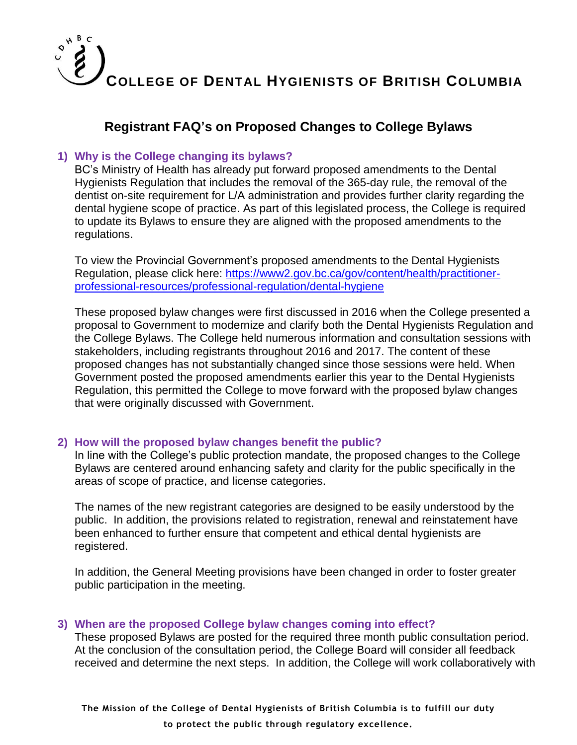

### **Registrant FAQ's on Proposed Changes to College Bylaws**

#### **1) Why is the College changing its bylaws?**

BC's Ministry of Health has already put forward proposed amendments to the Dental Hygienists Regulation that includes the removal of the 365-day rule, the removal of the dentist on-site requirement for L/A administration and provides further clarity regarding the dental hygiene scope of practice. As part of this legislated process, the College is required to update its Bylaws to ensure they are aligned with the proposed amendments to the regulations.

To view the Provincial Government's proposed amendments to the Dental Hygienists Regulation, please click here: [https://www2.gov.bc.ca/gov/content/health/practitioner](https://www2.gov.bc.ca/gov/content/health/practitioner-professional-resources/professional-regulation/dental-hygiene)[professional-resources/professional-regulation/dental-hygiene](https://www2.gov.bc.ca/gov/content/health/practitioner-professional-resources/professional-regulation/dental-hygiene)

These proposed bylaw changes were first discussed in 2016 when the College presented a proposal to Government to modernize and clarify both the Dental Hygienists Regulation and the College Bylaws. The College held numerous information and consultation sessions with stakeholders, including registrants throughout 2016 and 2017. The content of these proposed changes has not substantially changed since those sessions were held. When Government posted the proposed amendments earlier this year to the Dental Hygienists Regulation, this permitted the College to move forward with the proposed bylaw changes that were originally discussed with Government.

#### **2) How will the proposed bylaw changes benefit the public?**

In line with the College's public protection mandate, the proposed changes to the College Bylaws are centered around enhancing safety and clarity for the public specifically in the areas of scope of practice, and license categories.

The names of the new registrant categories are designed to be easily understood by the public. In addition, the provisions related to registration, renewal and reinstatement have been enhanced to further ensure that competent and ethical dental hygienists are registered.

In addition, the General Meeting provisions have been changed in order to foster greater public participation in the meeting.

#### **3) When are the proposed College bylaw changes coming into effect?**

These proposed Bylaws are posted for the required three month public consultation period. At the conclusion of the consultation period, the College Board will consider all feedback received and determine the next steps. In addition, the College will work collaboratively with

**The Mission of the College of Dental Hygienists of British Columbia is to fulfill our duty to protect the public through regulatory excellence.**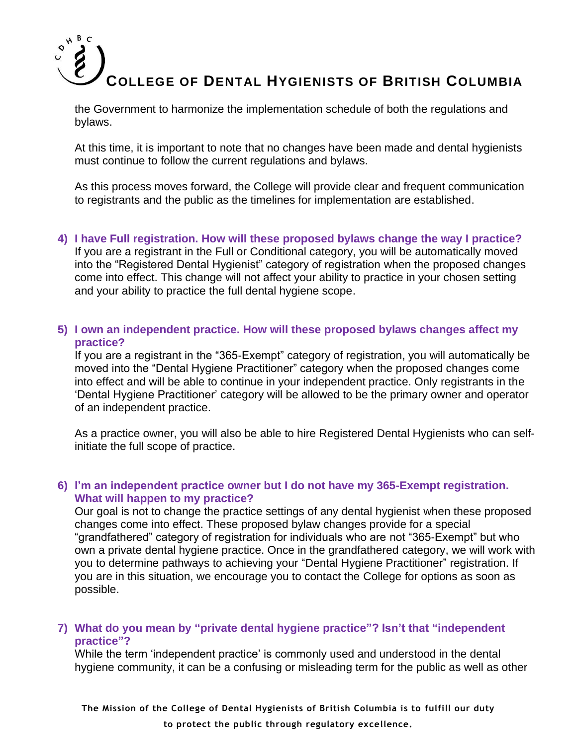the Government to harmonize the implementation schedule of both the regulations and bylaws.

At this time, it is important to note that no changes have been made and dental hygienists must continue to follow the current regulations and bylaws.

As this process moves forward, the College will provide clear and frequent communication to registrants and the public as the timelines for implementation are established.

#### **4) I have Full registration. How will these proposed bylaws change the way I practice?**

If you are a registrant in the Full or Conditional category, you will be automatically moved into the "Registered Dental Hygienist" category of registration when the proposed changes come into effect. This change will not affect your ability to practice in your chosen setting and your ability to practice the full dental hygiene scope.

#### **5) I own an independent practice. How will these proposed bylaws changes affect my practice?**

If you are a registrant in the "365-Exempt" category of registration, you will automatically be moved into the "Dental Hygiene Practitioner" category when the proposed changes come into effect and will be able to continue in your independent practice. Only registrants in the 'Dental Hygiene Practitioner' category will be allowed to be the primary owner and operator of an independent practice.

As a practice owner, you will also be able to hire Registered Dental Hygienists who can selfinitiate the full scope of practice.

#### **6) I'm an independent practice owner but I do not have my 365-Exempt registration. What will happen to my practice?**

Our goal is not to change the practice settings of any dental hygienist when these proposed changes come into effect. These proposed bylaw changes provide for a special "grandfathered" category of registration for individuals who are not "365-Exempt" but who own a private dental hygiene practice. Once in the grandfathered category, we will work with you to determine pathways to achieving your "Dental Hygiene Practitioner" registration. If you are in this situation, we encourage you to contact the College for options as soon as possible.

#### **7) What do you mean by "private dental hygiene practice"? Isn't that "independent practice"?**

While the term 'independent practice' is commonly used and understood in the dental hygiene community, it can be a confusing or misleading term for the public as well as other

**The Mission of the College of Dental Hygienists of British Columbia is to fulfill our duty to protect the public through regulatory excellence.**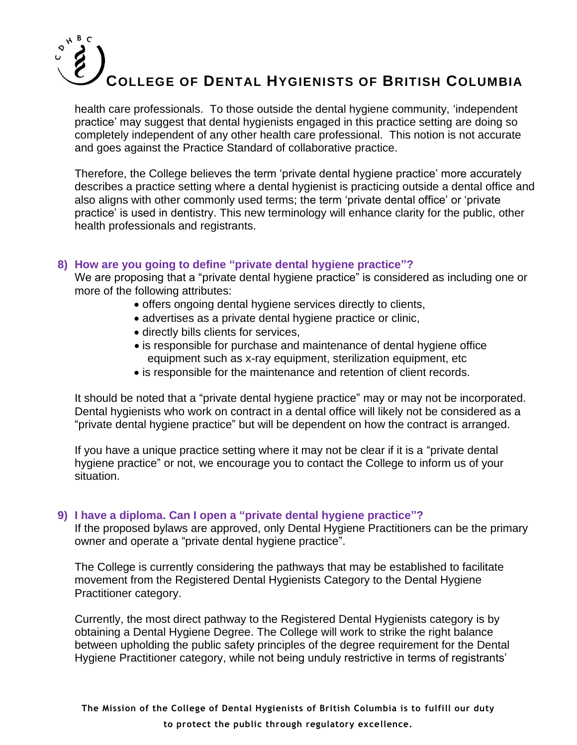health care professionals. To those outside the dental hygiene community, 'independent practice' may suggest that dental hygienists engaged in this practice setting are doing so completely independent of any other health care professional. This notion is not accurate and goes against the Practice Standard of collaborative practice.

Therefore, the College believes the term 'private dental hygiene practice' more accurately describes a practice setting where a dental hygienist is practicing outside a dental office and also aligns with other commonly used terms; the term 'private dental office' or 'private practice' is used in dentistry. This new terminology will enhance clarity for the public, other health professionals and registrants.

#### **8) How are you going to define "private dental hygiene practice"?**

We are proposing that a "private dental hygiene practice" is considered as including one or more of the following attributes:

- offers ongoing dental hygiene services directly to clients,
- advertises as a private dental hygiene practice or clinic,
- directly bills clients for services,
- is responsible for purchase and maintenance of dental hygiene office equipment such as x-ray equipment, sterilization equipment, etc
- is responsible for the maintenance and retention of client records.

It should be noted that a "private dental hygiene practice" may or may not be incorporated. Dental hygienists who work on contract in a dental office will likely not be considered as a "private dental hygiene practice" but will be dependent on how the contract is arranged.

If you have a unique practice setting where it may not be clear if it is a "private dental hygiene practice" or not, we encourage you to contact the College to inform us of your situation.

#### **9) I have a diploma. Can I open a "private dental hygiene practice"?**

If the proposed bylaws are approved, only Dental Hygiene Practitioners can be the primary owner and operate a "private dental hygiene practice".

The College is currently considering the pathways that may be established to facilitate movement from the Registered Dental Hygienists Category to the Dental Hygiene Practitioner category.

Currently, the most direct pathway to the Registered Dental Hygienists category is by obtaining a Dental Hygiene Degree. The College will work to strike the right balance between upholding the public safety principles of the degree requirement for the Dental Hygiene Practitioner category, while not being unduly restrictive in terms of registrants'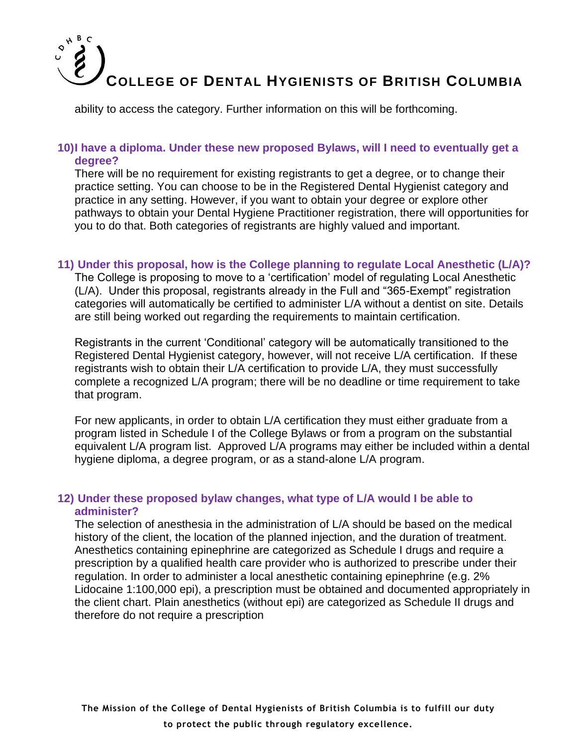ability to access the category. Further information on this will be forthcoming.

#### **10)I have a diploma. Under these new proposed Bylaws, will I need to eventually get a degree?**

There will be no requirement for existing registrants to get a degree, or to change their practice setting. You can choose to be in the Registered Dental Hygienist category and practice in any setting. However, if you want to obtain your degree or explore other pathways to obtain your Dental Hygiene Practitioner registration, there will opportunities for you to do that. Both categories of registrants are highly valued and important.

#### **11) Under this proposal, how is the College planning to regulate Local Anesthetic (L/A)?**

The College is proposing to move to a 'certification' model of regulating Local Anesthetic (L/A). Under this proposal, registrants already in the Full and "365-Exempt" registration categories will automatically be certified to administer L/A without a dentist on site. Details are still being worked out regarding the requirements to maintain certification.

Registrants in the current 'Conditional' category will be automatically transitioned to the Registered Dental Hygienist category, however, will not receive L/A certification. If these registrants wish to obtain their L/A certification to provide L/A, they must successfully complete a recognized L/A program; there will be no deadline or time requirement to take that program.

For new applicants, in order to obtain L/A certification they must either graduate from a program listed in Schedule I of the College Bylaws or from a program on the substantial equivalent L/A program list. Approved L/A programs may either be included within a dental hygiene diploma, a degree program, or as a stand-alone L/A program.

#### **12) Under these proposed bylaw changes, what type of L/A would I be able to administer?**

The selection of anesthesia in the administration of L/A should be based on the medical history of the client, the location of the planned injection, and the duration of treatment. Anesthetics containing epinephrine are categorized as Schedule I drugs and require a prescription by a qualified health care provider who is authorized to prescribe under their regulation. In order to administer a local anesthetic containing epinephrine (e.g. 2% Lidocaine 1:100,000 epi), a prescription must be obtained and documented appropriately in the client chart. Plain anesthetics (without epi) are categorized as Schedule II drugs and therefore do not require a prescription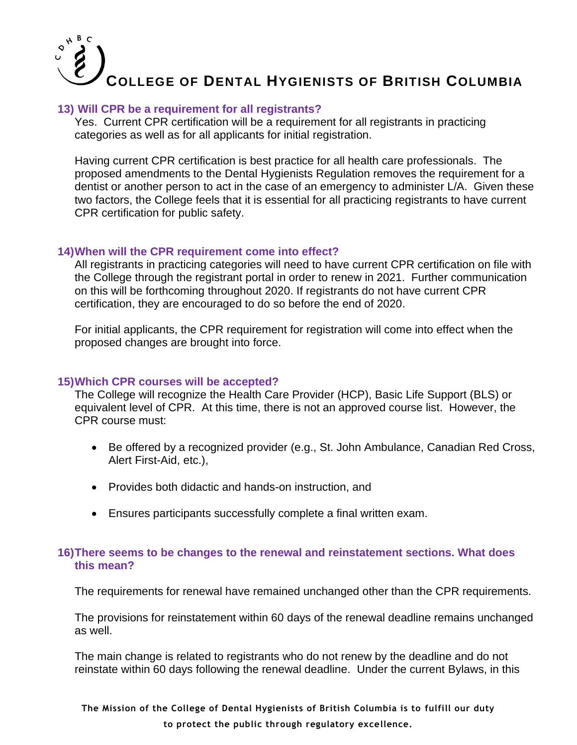#### **13) Will CPR be a requirement for all registrants?**

Yes. Current CPR certification will be a requirement for all registrants in practicing categories as well as for all applicants for initial registration.

Having current CPR certification is best practice for all health care professionals. The proposed amendments to the Dental Hygienists Regulation removes the requirement for a dentist or another person to act in the case of an emergency to administer L/A. Given these two factors, the College feels that it is essential for all practicing registrants to have current CPR certification for public safety.

#### **14)When will the CPR requirement come into effect?**

All registrants in practicing categories will need to have current CPR certification on file with the College through the registrant portal in order to renew in 2021. Further communication on this will be forthcoming throughout 2020. If registrants do not have current CPR certification, they are encouraged to do so before the end of 2020.

For initial applicants, the CPR requirement for registration will come into effect when the proposed changes are brought into force.

#### **15)Which CPR courses will be accepted?**

The College will recognize the Health Care Provider (HCP), Basic Life Support (BLS) or equivalent level of CPR. At this time, there is not an approved course list. However, the CPR course must:

- Be offered by a recognized provider (e.g., St. John Ambulance, Canadian Red Cross, Alert First-Aid, etc.),
- Provides both didactic and hands-on instruction, and
- Ensures participants successfully complete a final written exam.

#### **16)There seems to be changes to the renewal and reinstatement sections. What does this mean?**

The requirements for renewal have remained unchanged other than the CPR requirements.

The provisions for reinstatement within 60 days of the renewal deadline remains unchanged as well.

The main change is related to registrants who do not renew by the deadline and do not reinstate within 60 days following the renewal deadline. Under the current Bylaws, in this

**The Mission of the College of Dental Hygienists of British Columbia is to fulfill our duty to protect the public through regulatory excellence.**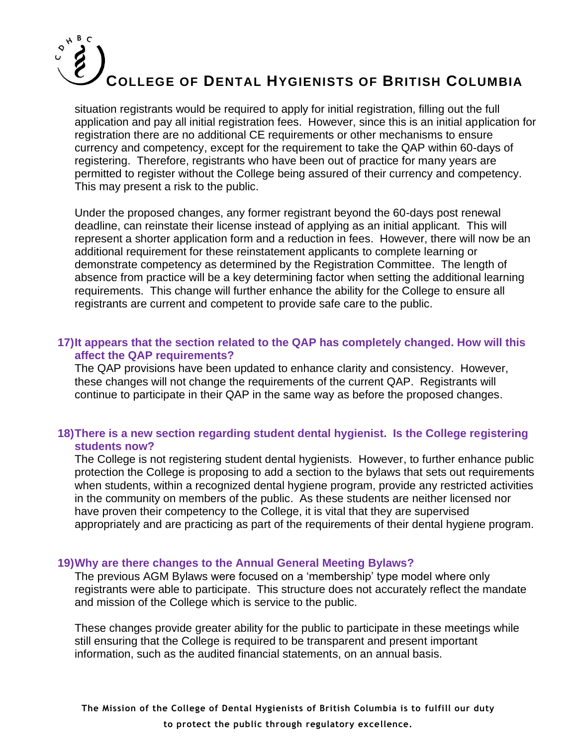situation registrants would be required to apply for initial registration, filling out the full application and pay all initial registration fees. However, since this is an initial application for registration there are no additional CE requirements or other mechanisms to ensure currency and competency, except for the requirement to take the QAP within 60-days of registering. Therefore, registrants who have been out of practice for many years are permitted to register without the College being assured of their currency and competency. This may present a risk to the public.

Under the proposed changes, any former registrant beyond the 60-days post renewal deadline, can reinstate their license instead of applying as an initial applicant. This will represent a shorter application form and a reduction in fees. However, there will now be an additional requirement for these reinstatement applicants to complete learning or demonstrate competency as determined by the Registration Committee. The length of absence from practice will be a key determining factor when setting the additional learning requirements. This change will further enhance the ability for the College to ensure all registrants are current and competent to provide safe care to the public.

#### **17)It appears that the section related to the QAP has completely changed. How will this affect the QAP requirements?**

The QAP provisions have been updated to enhance clarity and consistency. However, these changes will not change the requirements of the current QAP. Registrants will continue to participate in their QAP in the same way as before the proposed changes.

#### **18)There is a new section regarding student dental hygienist. Is the College registering students now?**

The College is not registering student dental hygienists. However, to further enhance public protection the College is proposing to add a section to the bylaws that sets out requirements when students, within a recognized dental hygiene program, provide any restricted activities in the community on members of the public. As these students are neither licensed nor have proven their competency to the College, it is vital that they are supervised appropriately and are practicing as part of the requirements of their dental hygiene program.

#### **19)Why are there changes to the Annual General Meeting Bylaws?**

The previous AGM Bylaws were focused on a 'membership' type model where only registrants were able to participate. This structure does not accurately reflect the mandate and mission of the College which is service to the public.

These changes provide greater ability for the public to participate in these meetings while still ensuring that the College is required to be transparent and present important information, such as the audited financial statements, on an annual basis.